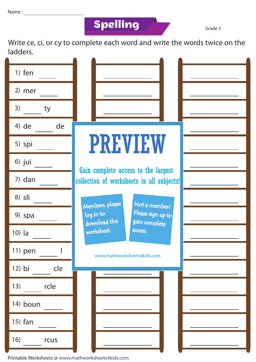## **Spelling**

Grade 3

Write ce, ci, or cy to complete each word and write the words twice on the ladders.



Printable Worksheets @ www.mathworksheets4kids.com